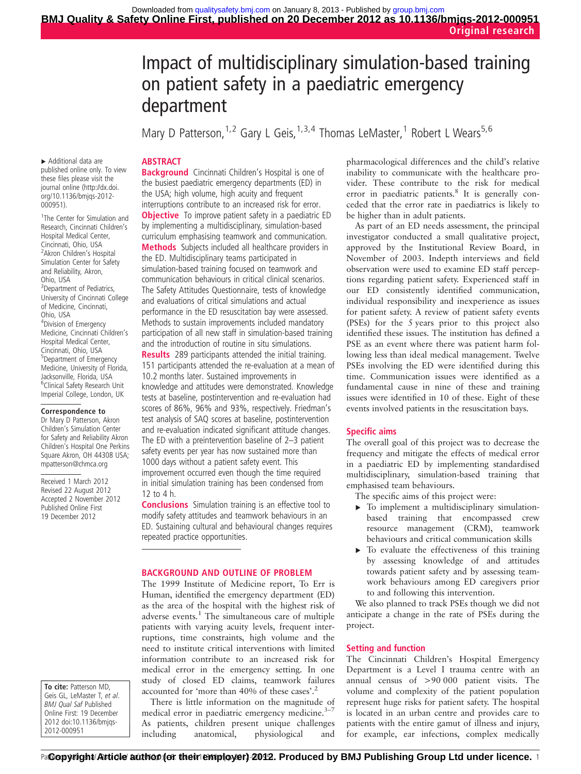# Impact of multidisciplinary simulation-based training on patient safety in a paediatric emergency department

Mary D Patterson,  $1,2$  Gary L Geis,  $1,3,4$  Thomas LeMaster,  $1$  Robert L Wears<sup>5,6</sup>

## **ABSTRACT**

▸ Additional data are published online only. To view these files please visit the journal online [\(http://dx.doi.](http://dx.doi.org/10.1136/bmjqs-2012-000951) [org/10.1136/bmjqs-2012-](http://dx.doi.org/10.1136/bmjqs-2012-000951) [000951](http://dx.doi.org/10.1136/bmjqs-2012-000951)).

1 The Center for Simulation and Research, Cincinnati Children's Hospital Medical Center, Cincinnati, Ohio, USA 2 Akron Children's Hospital Simulation Center for Safety and Reliability, Akron, Ohio, USA <sup>3</sup>Department of Pediatrics, University of Cincinnati College of Medicine, Cincinnati, Ohio, USA 4 Division of Emergency Medicine, Cincinnati Children's Hospital Medical Center, Cincinnati, Ohio, USA 5 Department of Emergency Medicine, University of Florida, Jacksonville, Florida, USA <sup>6</sup>Clinical Safety Research Unit Imperial College, London, UK

#### Correspondence to

Dr Mary D Patterson, Akron Children's Simulation Center for Safety and Reliability Akron Children's Hospital One Perkins Square Akron, OH 44308 USA; mpatterson@chmca.org

Received 1 March 2012 Revised 22 August 2012 Accepted 2 November 2012 Published Online First 19 December 2012

To cite: Patterson MD. Geis GL, LeMaster T, et al. BMJ Qual Saf Published Online First: 19 December 2012 doi:10.1136/bmjqs-2012-000951

**Background** Cincinnati Children's Hospital is one of the busiest paediatric emergency departments (ED) in the USA; high volume, high acuity and frequent interruptions contribute to an increased risk for error. **Objective** To improve patient safety in a paediatric ED by implementing a multidisciplinary, simulation-based curriculum emphasising teamwork and communication. Methods Subjects included all healthcare providers in the ED. Multidisciplinary teams participated in simulation-based training focused on teamwork and communication behaviours in critical clinical scenarios. The Safety Attitudes Questionnaire, tests of knowledge and evaluations of critical simulations and actual performance in the ED resuscitation bay were assessed. Methods to sustain improvements included mandatory participation of all new staff in simulation-based training and the introduction of routine in situ simulations. Results 289 participants attended the initial training.

151 participants attended the re-evaluation at a mean of 10.2 months later. Sustained improvements in knowledge and attitudes were demonstrated. Knowledge tests at baseline, postintervention and re-evaluation had scores of 86%, 96% and 93%, respectively. Friedman's test analysis of SAQ scores at baseline, postintervention and re-evaluation indicated significant attitude changes. The ED with a preintervention baseline of 2–3 patient safety events per year has now sustained more than 1000 days without a patient safety event. This improvement occurred even though the time required in initial simulation training has been condensed from 12 to 4 h.

**Conclusions** Simulation training is an effective tool to modify safety attitudes and teamwork behaviours in an ED. Sustaining cultural and behavioural changes requires repeated practice opportunities.

#### BACKGROUND AND OUTLINE OF PROBLEM

The 1999 Institute of Medicine report, To Err is Human, identified the emergency department (ED) as the area of the hospital with the highest risk of adverse events. $<sup>1</sup>$  The simultaneous care of multiple</sup> patients with varying acuity levels, frequent interruptions, time constraints, high volume and the need to institute critical interventions with limited information contribute to an increased risk for medical error in the emergency setting. In one study of closed ED claims, teamwork failures accounted for 'more than 40% of these cases'. 2

There is little information on the magnitude of medical error in paediatric emergency medicine.<sup>3-7</sup> As patients, children present unique challenges including anatomical, physiological and pharmacological differences and the child's relative inability to communicate with the healthcare provider. These contribute to the risk for medical error in paediatric patients. $8$  It is generally conceded that the error rate in paediatrics is likely to be higher than in adult patients.

As part of an ED needs assessment, the principal investigator conducted a small qualitative project, approved by the Institutional Review Board, in November of 2003. Indepth interviews and field observation were used to examine ED staff perceptions regarding patient safety. Experienced staff in our ED consistently identified communication, individual responsibility and inexperience as issues for patient safety. A review of patient safety events (PSEs) for the 5 years prior to this project also identified these issues. The institution has defined a PSE as an event where there was patient harm following less than ideal medical management. Twelve PSEs involving the ED were identified during this time. Communication issues were identified as a fundamental cause in nine of these and training issues were identified in 10 of these. Eight of these events involved patients in the resuscitation bays.

#### Specific aims

The overall goal of this project was to decrease the frequency and mitigate the effects of medical error in a paediatric ED by implementing standardised multidisciplinary, simulation-based training that emphasised team behaviours.

The specific aims of this project were:

- $\triangleright$  To implement a multidisciplinary simulationbased training that encompassed crew resource management (CRM), teamwork behaviours and critical communication skills
- $\triangleright$  To evaluate the effectiveness of this training by assessing knowledge of and attitudes towards patient safety and by assessing teamwork behaviours among ED caregivers prior to and following this intervention.

We also planned to track PSEs though we did not anticipate a change in the rate of PSEs during the project.

#### Setting and function

The Cincinnati Children's Hospital Emergency Department is a Level I trauma centre with an annual census of >90 000 patient visits. The volume and complexity of the patient population represent huge risks for patient safety. The hospital is located in an urban centre and provides care to patients with the entire gamut of illness and injury, for example, ear infections, complex medically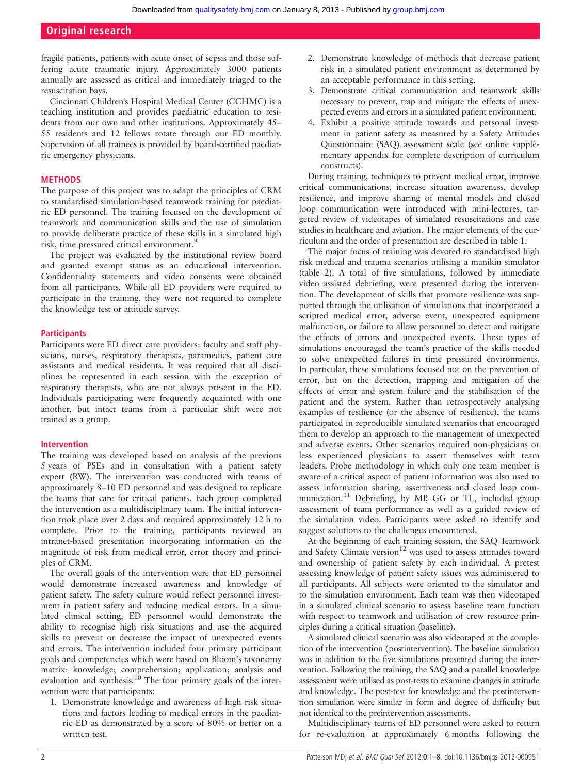fragile patients, patients with acute onset of sepsis and those suffering acute traumatic injury. Approximately 3000 patients annually are assessed as critical and immediately triaged to the resuscitation bays.

Cincinnati Children's Hospital Medical Center (CCHMC) is a teaching institution and provides paediatric education to residents from our own and other institutions. Approximately 45– 55 residents and 12 fellows rotate through our ED monthly. Supervision of all trainees is provided by board-certified paediatric emergency physicians.

#### **METHODS**

The purpose of this project was to adapt the principles of CRM to standardised simulation-based teamwork training for paediatric ED personnel. The training focused on the development of teamwork and communication skills and the use of simulation to provide deliberate practice of these skills in a simulated high risk, time pressured critical environment.<sup>9</sup>

The project was evaluated by the institutional review board and granted exempt status as an educational intervention. Confidentiality statements and video consents were obtained from all participants. While all ED providers were required to participate in the training, they were not required to complete the knowledge test or attitude survey.

#### **Participants**

Participants were ED direct care providers: faculty and staff physicians, nurses, respiratory therapists, paramedics, patient care assistants and medical residents. It was required that all disciplines be represented in each session with the exception of respiratory therapists, who are not always present in the ED. Individuals participating were frequently acquainted with one another, but intact teams from a particular shift were not trained as a group.

#### Intervention

The training was developed based on analysis of the previous 5 years of PSEs and in consultation with a patient safety expert (RW). The intervention was conducted with teams of approximately 8–10 ED personnel and was designed to replicate the teams that care for critical patients. Each group completed the intervention as a multidisciplinary team. The initial intervention took place over 2 days and required approximately 12 h to complete. Prior to the training, participants reviewed an intranet-based presentation incorporating information on the magnitude of risk from medical error, error theory and principles of CRM.

The overall goals of the intervention were that ED personnel would demonstrate increased awareness and knowledge of patient safety. The safety culture would reflect personnel investment in patient safety and reducing medical errors. In a simulated clinical setting, ED personnel would demonstrate the ability to recognise high risk situations and use the acquired skills to prevent or decrease the impact of unexpected events and errors. The intervention included four primary participant goals and competencies which were based on Bloom's taxonomy matrix: knowledge; comprehension; application; analysis and evaluation and synthesis.<sup>10</sup> The four primary goals of the intervention were that participants:

1. Demonstrate knowledge and awareness of high risk situations and factors leading to medical errors in the paediatric ED as demonstrated by a score of 80% or better on a written test.

- 2. Demonstrate knowledge of methods that decrease patient risk in a simulated patient environment as determined by an acceptable performance in this setting.
- 3. Demonstrate critical communication and teamwork skills necessary to prevent, trap and mitigate the effects of unexpected events and errors in a simulated patient environment.
- 4. Exhibit a positive attitude towards and personal investment in patient safety as measured by a Safety Attitudes Questionnaire (SAQ) assessment scale (see online supplementary appendix for complete description of curriculum constructs).

During training, techniques to prevent medical error, improve critical communications, increase situation awareness, develop resilience, and improve sharing of mental models and closed loop communication were introduced with mini-lectures, targeted review of videotapes of simulated resuscitations and case studies in healthcare and aviation. The major elements of the curriculum and the order of presentation are described in table 1.

The major focus of training was devoted to standardised high risk medical and trauma scenarios utilising a manikin simulator (table 2). A total of five simulations, followed by immediate video assisted debriefing, were presented during the intervention. The development of skills that promote resilience was supported through the utilisation of simulations that incorporated a scripted medical error, adverse event, unexpected equipment malfunction, or failure to allow personnel to detect and mitigate the effects of errors and unexpected events. These types of simulations encouraged the team's practice of the skills needed to solve unexpected failures in time pressured environments. In particular, these simulations focused not on the prevention of error, but on the detection, trapping and mitigation of the effects of error and system failure and the stabilisation of the patient and the system. Rather than retrospectively analysing examples of resilience (or the absence of resilience), the teams participated in reproducible simulated scenarios that encouraged them to develop an approach to the management of unexpected and adverse events. Other scenarios required non-physicians or less experienced physicians to assert themselves with team leaders. Probe methodology in which only one team member is aware of a critical aspect of patient information was also used to assess information sharing, assertiveness and closed loop communication.<sup>11</sup> Debriefing, by MP, GG or TL, included group assessment of team performance as well as a guided review of the simulation video. Participants were asked to identify and suggest solutions to the challenges encountered.

At the beginning of each training session, the SAQ Teamwork and Safety Climate version<sup>12</sup> was used to assess attitudes toward and ownership of patient safety by each individual. A pretest assessing knowledge of patient safety issues was administered to all participants. All subjects were oriented to the simulator and to the simulation environment. Each team was then videotaped in a simulated clinical scenario to assess baseline team function with respect to teamwork and utilisation of crew resource principles during a critical situation (baseline).

A simulated clinical scenario was also videotaped at the completion of the intervention (postintervention). The baseline simulation was in addition to the five simulations presented during the intervention. Following the training, the SAQ and a parallel knowledge assessment were utilised as post-tests to examine changes in attitude and knowledge. The post-test for knowledge and the postintervention simulation were similar in form and degree of difficulty but not identical to the preintervention assessments.

Multidisciplinary teams of ED personnel were asked to return for re-evaluation at approximately 6 months following the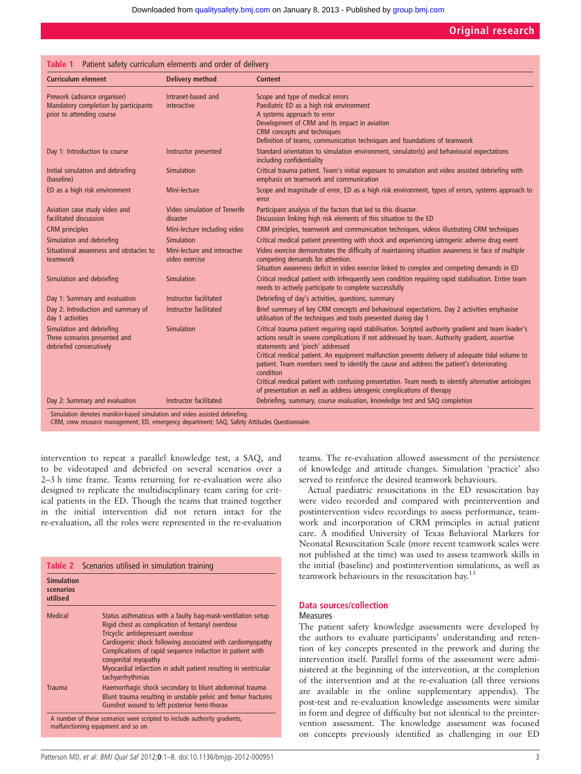|  | Table 1 Patient safety curriculum elements and order of delivery |  |
|--|------------------------------------------------------------------|--|
|--|------------------------------------------------------------------|--|

| <b>Curriculum element</b>                                                                        | <b>Delivery method</b>                         | <b>Content</b>                                                                                                                                                                                                                                                                                                                                                                                                                                          |
|--------------------------------------------------------------------------------------------------|------------------------------------------------|---------------------------------------------------------------------------------------------------------------------------------------------------------------------------------------------------------------------------------------------------------------------------------------------------------------------------------------------------------------------------------------------------------------------------------------------------------|
| Prework (advance organiser)<br>Mandatory completion by participants<br>prior to attending course | Intranet-based and<br>interactive              | Scope and type of medical errors<br>Paediatric ED as a high risk environment<br>A systems approach to error<br>Development of CRM and its impact in aviation<br>CRM concepts and techniques<br>Definition of teams, communication techniques and foundations of teamwork                                                                                                                                                                                |
| Day 1: Introduction to course                                                                    | Instructor presented                           | Standard orientation to simulation environment, simulator(s) and behavioural expectations<br>including confidentiality                                                                                                                                                                                                                                                                                                                                  |
| Initial simulation and debriefing<br>(baseline)                                                  | <b>Simulation</b>                              | Critical trauma patient. Team's initial exposure to simulation and video assisted debriefing with<br>emphasis on teamwork and communication                                                                                                                                                                                                                                                                                                             |
| ED as a high risk environment                                                                    | Mini-lecture                                   | Scope and magnitude of error, ED as a high risk environment, types of errors, systems approach to<br>error                                                                                                                                                                                                                                                                                                                                              |
| Aviation case study video and<br>facilitated discussion                                          | Video simulation of Tenerife<br>disaster       | Participant analysis of the factors that led to this disaster.<br>Discussion linking high risk elements of this situation to the ED                                                                                                                                                                                                                                                                                                                     |
| <b>CRM</b> principles                                                                            | Mini-lecture including video                   | CRM principles, teamwork and communication techniques, videos illustrating CRM techniques                                                                                                                                                                                                                                                                                                                                                               |
| Simulation and debriefing                                                                        | Simulation                                     | Critical medical patient presenting with shock and experiencing iatrogenic adverse drug event                                                                                                                                                                                                                                                                                                                                                           |
| Situational awareness and obstacles to<br>teamwork                                               | Mini-lecture and interactive<br>video exercise | Video exercise demonstrates the difficulty of maintaining situation awareness in face of multiple<br>competing demands for attention.<br>Situation awareness deficit in video exercise linked to complex and competing demands in ED                                                                                                                                                                                                                    |
| Simulation and debriefing                                                                        | Simulation                                     | Critical medical patient with infrequently seen condition requiring rapid stabilisation. Entire team<br>needs to actively participate to complete successfully                                                                                                                                                                                                                                                                                          |
| Day 1: Summary and evaluation                                                                    | Instructor facilitated                         | Debriefing of day's activities, questions, summary                                                                                                                                                                                                                                                                                                                                                                                                      |
| Day 2: Introduction and summary of<br>day 1 activities                                           | Instructor facilitated                         | Brief summary of key CRM concepts and behavioural expectations. Day 2 activities emphasise<br>utilisation of the techniques and tools presented during day 1                                                                                                                                                                                                                                                                                            |
| Simulation and debriefing<br>Three scenarios presented and<br>debriefed consecutively            | Simulation                                     | Critical trauma patient requiring rapid stabilisation. Scripted authority gradient and team leader's<br>actions result in severe complications if not addressed by team. Authority gradient, assertive<br>statements and 'pinch' addressed<br>Critical medical patient. An equipment malfunction prevents delivery of adequate tidal volume to<br>patient. Team members need to identify the cause and address the patient's deteriorating<br>condition |
|                                                                                                  |                                                | Critical medical patient with confusing presentation. Team needs to identify alternative aetiologies<br>of presentation as well as address iatrogenic complications of therapy                                                                                                                                                                                                                                                                          |
| Day 2: Summary and evaluation                                                                    | Instructor facilitated                         | Debriefing, summary, course evaluation, knowledge test and SAQ completion                                                                                                                                                                                                                                                                                                                                                                               |

CRM, crew resource management; ED, emergency department; SAQ, Safety Attitudes Questionnaire.

intervention to repeat a parallel knowledge test, a SAQ, and to be videotaped and debriefed on several scenarios over a 2–3 h time frame. Teams returning for re-evaluation were also designed to replicate the multidisciplinary team caring for critical patients in the ED. Though the teams that trained together in the initial intervention did not return intact for the re-evaluation, all the roles were represented in the re-evaluation

|                                            | Table 2 Scenarios utilised in simulation training                                                                                                                                                                                                                                                                                                                                             |
|--------------------------------------------|-----------------------------------------------------------------------------------------------------------------------------------------------------------------------------------------------------------------------------------------------------------------------------------------------------------------------------------------------------------------------------------------------|
| <b>Simulation</b><br>scenarios<br>utilised |                                                                                                                                                                                                                                                                                                                                                                                               |
| <b>Medical</b>                             | Status asthmaticus with a faulty bag-mask-ventilation setup<br>Rigid chest as complication of fentanyl overdose<br>Tricyclic antidepressant overdose<br>Cardiogenic shock following associated with cardiomyopathy<br>Complications of rapid sequence induction in patient with<br>congenital myopathy<br>Myocardial infarction in adult patient resulting in ventricular<br>tachyarrhythmias |
| <b>Trauma</b>                              | Haemorrhagic shock secondary to blunt abdominal trauma<br>Blunt trauma resulting in unstable pelvic and femur fractures<br>Gunshot wound to left posterior hemi-thorax                                                                                                                                                                                                                        |
|                                            | A number of these scenarios were scripted to include authority gradients,<br>malfunctioning equipment and so on.                                                                                                                                                                                                                                                                              |

teams. The re-evaluation allowed assessment of the persistence of knowledge and attitude changes. Simulation 'practice' also served to reinforce the desired teamwork behaviours.

Actual paediatric resuscitations in the ED resuscitation bay were video recorded and compared with preintervention and postintervention video recordings to assess performance, teamwork and incorporation of CRM principles in actual patient care. A modified University of Texas Behavioral Markers for Neonatal Resuscitation Scale (more recent teamwork scales were not published at the time) was used to assess teamwork skills in the initial (baseline) and postintervention simulations, as well as teamwork behaviours in the resuscitation bay.<sup>13</sup>

#### Data sources/collection

#### Measures

The patient safety knowledge assessments were developed by the authors to evaluate participants' understanding and retention of key concepts presented in the prework and during the intervention itself. Parallel forms of the assessment were administered at the beginning of the intervention, at the completion of the intervention and at the re-evaluation (all three versions are available in the online supplementary appendix). The post-test and re-evaluation knowledge assessments were similar in form and degree of difficulty but not identical to the preintervention assessment. The knowledge assessment was focused on concepts previously identified as challenging in our ED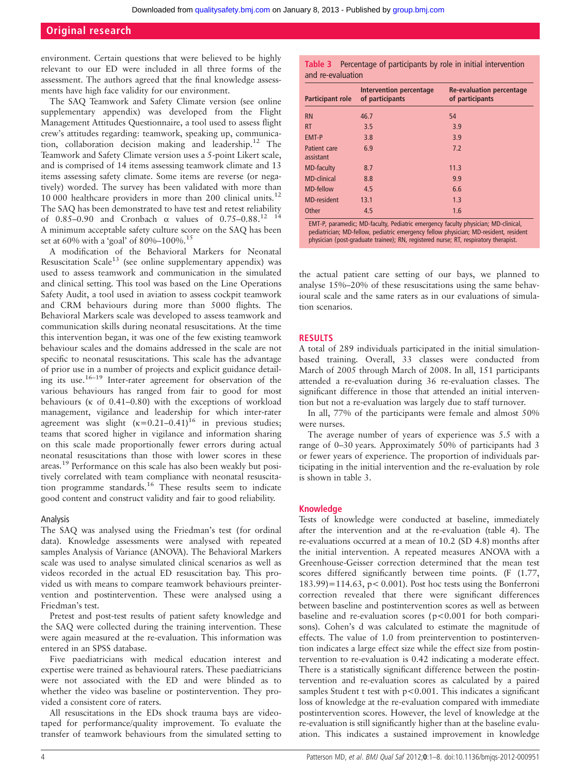environment. Certain questions that were believed to be highly relevant to our ED were included in all three forms of the assessment. The authors agreed that the final knowledge assessments have high face validity for our environment.

The SAQ Teamwork and Safety Climate version (see online supplementary appendix) was developed from the Flight Management Attitudes Questionnaire, a tool used to assess flight crew's attitudes regarding: teamwork, speaking up, communication, collaboration decision making and leadership.<sup>12</sup> The Teamwork and Safety Climate version uses a 5-point Likert scale, and is comprised of 14 items assessing teamwork climate and 13 items assessing safety climate. Some items are reverse (or negatively) worded. The survey has been validated with more than 10 000 healthcare providers in more than 200 clinical units.12 The SAQ has been demonstrated to have test and retest reliability of 0.85–0.90 and Cronbach  $\alpha$  values of 0.75–0.88.<sup>12</sup> <sup>14</sup> A minimum acceptable safety culture score on the SAQ has been set at 60% with a 'goal' of 80%–100%.<sup>15</sup>

A modification of the Behavioral Markers for Neonatal Resuscitation Scale<sup>13</sup> (see online supplementary appendix) was used to assess teamwork and communication in the simulated and clinical setting. This tool was based on the Line Operations Safety Audit, a tool used in aviation to assess cockpit teamwork and CRM behaviours during more than 5000 flights. The Behavioral Markers scale was developed to assess teamwork and communication skills during neonatal resuscitations. At the time this intervention began, it was one of the few existing teamwork behaviour scales and the domains addressed in the scale are not specific to neonatal resuscitations. This scale has the advantage of prior use in a number of projects and explicit guidance detailing its use.16–<sup>19</sup> Inter-rater agreement for observation of the various behaviours has ranged from fair to good for most behaviours (κ of 0.41–0.80) with the exceptions of workload management, vigilance and leadership for which inter-rater agreement was slight  $(\kappa=0.21-0.41)^{16}$  in previous studies; teams that scored higher in vigilance and information sharing on this scale made proportionally fewer errors during actual neonatal resuscitations than those with lower scores in these areas.<sup>19</sup> Performance on this scale has also been weakly but positively correlated with team compliance with neonatal resuscitation programme standards.16 These results seem to indicate good content and construct validity and fair to good reliability.

#### Analysis

The SAQ was analysed using the Friedman's test (for ordinal data). Knowledge assessments were analysed with repeated samples Analysis of Variance (ANOVA). The Behavioral Markers scale was used to analyse simulated clinical scenarios as well as videos recorded in the actual ED resuscitation bay. This provided us with means to compare teamwork behaviours preintervention and postintervention. These were analysed using a Friedman's test.

Pretest and post-test results of patient safety knowledge and the SAQ were collected during the training intervention. These were again measured at the re-evaluation. This information was entered in an SPSS database.

Five paediatricians with medical education interest and expertise were trained as behavioural raters. These paediatricians were not associated with the ED and were blinded as to whether the video was baseline or postintervention. They provided a consistent core of raters.

All resuscitations in the EDs shock trauma bays are videotaped for performance/quality improvement. To evaluate the transfer of teamwork behaviours from the simulated setting to

#### Table 3 Percentage of participants by role in initial intervention and re-evaluation

| Participant role          | Intervention percentage<br>of participants                                                                                                                               | Re-evaluation percentage<br>of participants                                          |
|---------------------------|--------------------------------------------------------------------------------------------------------------------------------------------------------------------------|--------------------------------------------------------------------------------------|
| <b>RN</b>                 | 46.7                                                                                                                                                                     | 54                                                                                   |
| <b>RT</b>                 | 3.5                                                                                                                                                                      | 3.9                                                                                  |
| EMT-P                     | 3.8                                                                                                                                                                      | 3.9                                                                                  |
| Patient care<br>assistant | 6.9                                                                                                                                                                      | 7.2                                                                                  |
| <b>MD-faculty</b>         | 8.7                                                                                                                                                                      | 11.3                                                                                 |
| <b>MD-clinical</b>        | 8.8                                                                                                                                                                      | 9.9                                                                                  |
| <b>MD-fellow</b>          | 4.5                                                                                                                                                                      | 6.6                                                                                  |
| MD-resident               | 13.1                                                                                                                                                                     | 1.3                                                                                  |
| Other                     | 4.5                                                                                                                                                                      | 1.6                                                                                  |
|                           | EMT-P, paramedic; MD-faculty, Pediatric emergency faculty physician; MD-clinical,<br>physician (post-graduate trainee); RN, registered nurse; RT, respiratory therapist. | pediatrician; MD-fellow, pediatric emergency fellow physician; MD-resident, resident |

the actual patient care setting of our bays, we planned to analyse 15%–20% of these resuscitations using the same behavioural scale and the same raters as in our evaluations of simulation scenarios.

#### RESULTS

A total of 289 individuals participated in the initial simulationbased training. Overall, 33 classes were conducted from March of 2005 through March of 2008. In all, 151 participants attended a re-evaluation during 36 re-evaluation classes. The significant difference in those that attended an initial intervention but not a re-evaluation was largely due to staff turnover.

In all, 77% of the participants were female and almost 50% were nurses.

The average number of years of experience was 5.5 with a range of 0–30 years. Approximately 50% of participants had 3 or fewer years of experience. The proportion of individuals participating in the initial intervention and the re-evaluation by role is shown in table 3.

#### **Knowledge**

Tests of knowledge were conducted at baseline, immediately after the intervention and at the re-evaluation (table 4). The re-evaluations occurred at a mean of 10.2 (SD 4.8) months after the initial intervention. A repeated measures ANOVA with a Greenhouse-Geisser correction determined that the mean test scores differed significantly between time points. (F (1.77, 183.99)=114.63, p< 0.001). Post hoc tests using the Bonferroni correction revealed that there were significant differences between baseline and postintervention scores as well as between baseline and re-evaluation scores  $(p<0.001$  for both comparisons). Cohen's d was calculated to estimate the magnitude of effects. The value of 1.0 from preintervention to postintervention indicates a large effect size while the effect size from postintervention to re-evaluation is 0.42 indicating a moderate effect. There is a statistically significant difference between the postintervention and re-evaluation scores as calculated by a paired samples Student t test with p<0.001. This indicates a significant loss of knowledge at the re-evaluation compared with immediate postintervention scores. However, the level of knowledge at the re-evaluation is still significantly higher than at the baseline evaluation. This indicates a sustained improvement in knowledge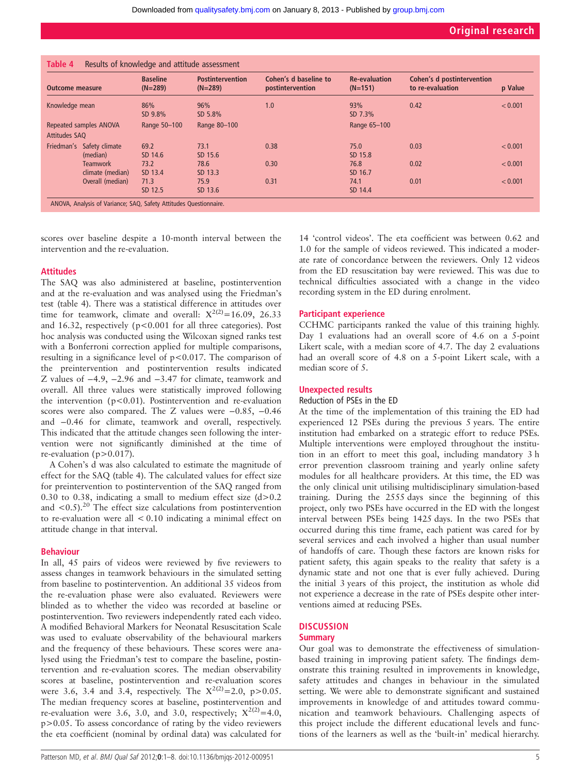| <b>Outcome measure</b> |                           | <b>Baseline</b><br>$(N=289)$ | <b>Postintervention</b><br>$(N=289)$ | Cohen's d baseline to<br>postintervention | <b>Re-evaluation</b><br>$(N=151)$ | Cohen's d postintervention<br>to re-evaluation | p Value |
|------------------------|---------------------------|------------------------------|--------------------------------------|-------------------------------------------|-----------------------------------|------------------------------------------------|---------|
| Knowledge mean         |                           | 86%<br>SD 9.8%               | 96%<br>SD 5.8%                       | 1.0                                       | 93%<br>SD 7.3%                    | 0.42                                           | < 0.001 |
|                        | Repeated samples ANOVA    | Range 50-100                 | Range 80-100                         |                                           | Range 65-100                      |                                                |         |
| <b>Attitudes SAQ</b>   |                           |                              |                                      |                                           |                                   |                                                |         |
|                        | Friedman's Safety climate | 69.2                         | 73.1                                 | 0.38                                      | 75.0                              | 0.03                                           | < 0.001 |
|                        | (median)                  | SD 14.6                      | SD 15.6                              |                                           | SD 15.8                           |                                                |         |
|                        | <b>Teamwork</b>           | 73.2                         | 78.6                                 | 0.30                                      | 76.8                              | 0.02                                           | < 0.001 |
|                        | climate (median)          | SD 13.4                      | SD 13.3                              |                                           | SD 16.7                           |                                                |         |
|                        | Overall (median)          | 71.3                         | 75.9                                 | 0.31                                      | 74.1                              | 0.01                                           | < 0.001 |
|                        |                           | SD 12.5                      | SD 13.6                              |                                           | SD 14.4                           |                                                |         |

scores over baseline despite a 10-month interval between the intervention and the re-evaluation.

#### Attitudes

The SAQ was also administered at baseline, postintervention and at the re-evaluation and was analysed using the Friedman's test (table 4). There was a statistical difference in attitudes over time for teamwork, climate and overall:  $X^{2(2)} = 16.09$ , 26.33 and 16.32, respectively  $(p<0.001$  for all three categories). Post hoc analysis was conducted using the Wilcoxan signed ranks test with a Bonferroni correction applied for multiple comparisons, resulting in a significance level of p<0.017. The comparison of the preintervention and postintervention results indicated Z values of −4.9, −2.96 and −3.47 for climate, teamwork and overall. All three values were statistically improved following the intervention  $(p<0.01)$ . Postintervention and re-evaluation scores were also compared. The Z values were −0.85, −0.46 and −0.46 for climate, teamwork and overall, respectively. This indicated that the attitude changes seen following the intervention were not significantly diminished at the time of re-evaluation ( $p > 0.017$ ).

A Cohen's d was also calculated to estimate the magnitude of effect for the SAQ (table 4). The calculated values for effect size for preintervention to postintervention of the SAQ ranged from 0.30 to 0.38, indicating a small to medium effect size  $(d>0.2)$ and  $\leq 0.5$ ).<sup>20</sup> The effect size calculations from postintervention to re-evaluation were all < 0.10 indicating a minimal effect on attitude change in that interval.

#### Behaviour

In all, 45 pairs of videos were reviewed by five reviewers to assess changes in teamwork behaviours in the simulated setting from baseline to postintervention. An additional 35 videos from the re-evaluation phase were also evaluated. Reviewers were blinded as to whether the video was recorded at baseline or postintervention. Two reviewers independently rated each video. A modified Behavioral Markers for Neonatal Resuscitation Scale was used to evaluate observability of the behavioural markers and the frequency of these behaviours. These scores were analysed using the Friedman's test to compare the baseline, postintervention and re-evaluation scores. The median observability scores at baseline, postintervention and re-evaluation scores were 3.6, 3.4 and 3.4, respectively. The  $X^{2(2)} = 2.0$ , p > 0.05. The median frequency scores at baseline, postintervention and re-evaluation were 3.6, 3.0, and 3.0, respectively;  $X^{2(2)} = 4.0$ , p>0.05. To assess concordance of rating by the video reviewers the eta coefficient (nominal by ordinal data) was calculated for

14 'control videos'. The eta coefficient was between 0.62 and 1.0 for the sample of videos reviewed. This indicated a moderate rate of concordance between the reviewers. Only 12 videos from the ED resuscitation bay were reviewed. This was due to technical difficulties associated with a change in the video recording system in the ED during enrolment.

#### Participant experience

CCHMC participants ranked the value of this training highly. Day 1 evaluations had an overall score of 4.6 on a 5-point Likert scale, with a median score of 4.7. The day 2 evaluations had an overall score of 4.8 on a 5-point Likert scale, with a median score of 5.

#### Unexpected results

#### Reduction of PSEs in the ED

At the time of the implementation of this training the ED had experienced 12 PSEs during the previous 5 years. The entire institution had embarked on a strategic effort to reduce PSEs. Multiple interventions were employed throughout the institution in an effort to meet this goal, including mandatory 3 h error prevention classroom training and yearly online safety modules for all healthcare providers. At this time, the ED was the only clinical unit utilising multidisciplinary simulation-based training. During the 2555 days since the beginning of this project, only two PSEs have occurred in the ED with the longest interval between PSEs being 1425 days. In the two PSEs that occurred during this time frame, each patient was cared for by several services and each involved a higher than usual number of handoffs of care. Though these factors are known risks for patient safety, this again speaks to the reality that safety is a dynamic state and not one that is ever fully achieved. During the initial 3 years of this project, the institution as whole did not experience a decrease in the rate of PSEs despite other interventions aimed at reducing PSEs.

## **DISCUSSION**

## **Summary**

Our goal was to demonstrate the effectiveness of simulationbased training in improving patient safety. The findings demonstrate this training resulted in improvements in knowledge, safety attitudes and changes in behaviour in the simulated setting. We were able to demonstrate significant and sustained improvements in knowledge of and attitudes toward communication and teamwork behaviours. Challenging aspects of this project include the different educational levels and functions of the learners as well as the 'built-in' medical hierarchy.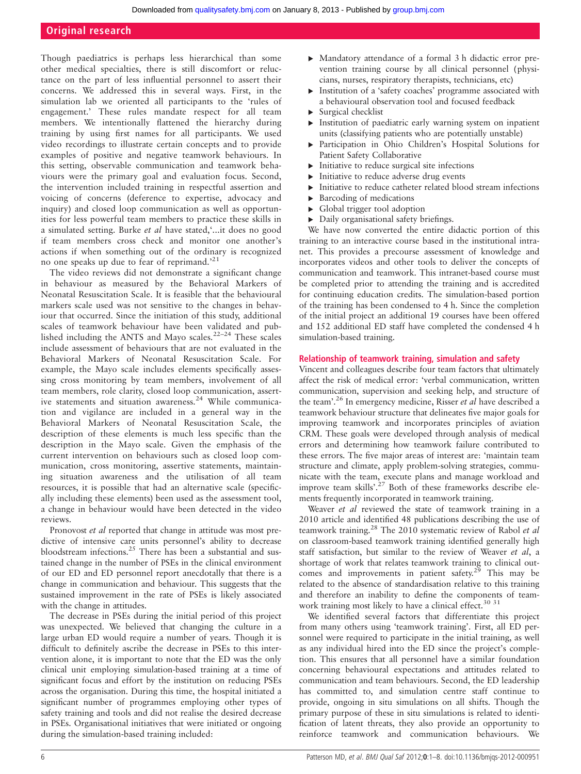Though paediatrics is perhaps less hierarchical than some other medical specialties, there is still discomfort or reluctance on the part of less influential personnel to assert their concerns. We addressed this in several ways. First, in the simulation lab we oriented all participants to the 'rules of engagement.' These rules mandate respect for all team members. We intentionally flattened the hierarchy during training by using first names for all participants. We used video recordings to illustrate certain concepts and to provide examples of positive and negative teamwork behaviours. In this setting, observable communication and teamwork behaviours were the primary goal and evaluation focus. Second, the intervention included training in respectful assertion and voicing of concerns (deference to expertise, advocacy and inquiry) and closed loop communication as well as opportunities for less powerful team members to practice these skills in a simulated setting. Burke et al have stated,'...it does no good if team members cross check and monitor one another's actions if when something out of the ordinary is recognized no one speaks up due to fear of reprimand.' 21

The video reviews did not demonstrate a significant change in behaviour as measured by the Behavioral Markers of Neonatal Resuscitation Scale. It is feasible that the behavioural markers scale used was not sensitive to the changes in behaviour that occurred. Since the initiation of this study, additional scales of teamwork behaviour have been validated and published including the ANTS and Mayo scales.<sup>22–24</sup> These scales include assessment of behaviours that are not evaluated in the Behavioral Markers of Neonatal Resuscitation Scale. For example, the Mayo scale includes elements specifically assessing cross monitoring by team members, involvement of all team members, role clarity, closed loop communication, assertive statements and situation awareness.<sup>24</sup> While communication and vigilance are included in a general way in the Behavioral Markers of Neonatal Resuscitation Scale, the description of these elements is much less specific than the description in the Mayo scale. Given the emphasis of the current intervention on behaviours such as closed loop communication, cross monitoring, assertive statements, maintaining situation awareness and the utilisation of all team resources, it is possible that had an alternative scale (specifically including these elements) been used as the assessment tool, a change in behaviour would have been detected in the video reviews.

Pronovost et al reported that change in attitude was most predictive of intensive care units personnel's ability to decrease bloodstream infections.25 There has been a substantial and sustained change in the number of PSEs in the clinical environment of our ED and ED personnel report anecdotally that there is a change in communication and behaviour. This suggests that the sustained improvement in the rate of PSEs is likely associated with the change in attitudes.

The decrease in PSEs during the initial period of this project was unexpected. We believed that changing the culture in a large urban ED would require a number of years. Though it is difficult to definitely ascribe the decrease in PSEs to this intervention alone, it is important to note that the ED was the only clinical unit employing simulation-based training at a time of significant focus and effort by the institution on reducing PSEs across the organisation. During this time, the hospital initiated a significant number of programmes employing other types of safety training and tools and did not realise the desired decrease in PSEs. Organisational initiatives that were initiated or ongoing during the simulation-based training included:

- ▸ Mandatory attendance of a formal 3 h didactic error prevention training course by all clinical personnel (physicians, nurses, respiratory therapists, technicians, etc)
- ▸ Institution of a 'safety coaches' programme associated with a behavioural observation tool and focused feedback
- Surgical checklist
- Institution of paediatric early warning system on inpatient units (classifying patients who are potentially unstable)
- Participation in Ohio Children's Hospital Solutions for Patient Safety Collaborative
- $\blacktriangleright$  Initiative to reduce surgical site infections
- ▸ Initiative to reduce adverse drug events
- ▸ Initiative to reduce catheter related blood stream infections
- ▸ Barcoding of medications
- Global trigger tool adoption
- ▸ Daily organisational safety briefings.

We have now converted the entire didactic portion of this training to an interactive course based in the institutional intranet. This provides a precourse assessment of knowledge and incorporates videos and other tools to deliver the concepts of communication and teamwork. This intranet-based course must be completed prior to attending the training and is accredited for continuing education credits. The simulation-based portion of the training has been condensed to 4 h. Since the completion of the initial project an additional 19 courses have been offered and 152 additional ED staff have completed the condensed 4 h simulation-based training.

#### Relationship of teamwork training, simulation and safety

Vincent and colleagues describe four team factors that ultimately affect the risk of medical error: 'verbal communication, written communication, supervision and seeking help, and structure of the team'.<sup>26</sup> In emergency medicine, Risser et al have described a teamwork behaviour structure that delineates five major goals for improving teamwork and incorporates principles of aviation CRM. These goals were developed through analysis of medical errors and determining how teamwork failure contributed to these errors. The five major areas of interest are: 'maintain team structure and climate, apply problem-solving strategies, communicate with the team, execute plans and manage workload and improve team skills'.<sup>27</sup> Both of these frameworks describe elements frequently incorporated in teamwork training.

Weaver et al reviewed the state of teamwork training in a 2010 article and identified 48 publications describing the use of teamwork training.<sup>28</sup> The 2010 systematic review of Rabol et al on classroom-based teamwork training identified generally high staff satisfaction, but similar to the review of Weaver et al, a shortage of work that relates teamwork training to clinical outcomes and improvements in patient safety.<sup>29</sup> This may be related to the absence of standardisation relative to this training and therefore an inability to define the components of teamwork training most likely to have a clinical effect.<sup>30</sup><sup>31</sup>

We identified several factors that differentiate this project from many others using 'teamwork training'. First, all ED personnel were required to participate in the initial training, as well as any individual hired into the ED since the project's completion. This ensures that all personnel have a similar foundation concerning behavioural expectations and attitudes related to communication and team behaviours. Second, the ED leadership has committed to, and simulation centre staff continue to provide, ongoing in situ simulations on all shifts. Though the primary purpose of these in situ simulations is related to identification of latent threats, they also provide an opportunity to reinforce teamwork and communication behaviours. We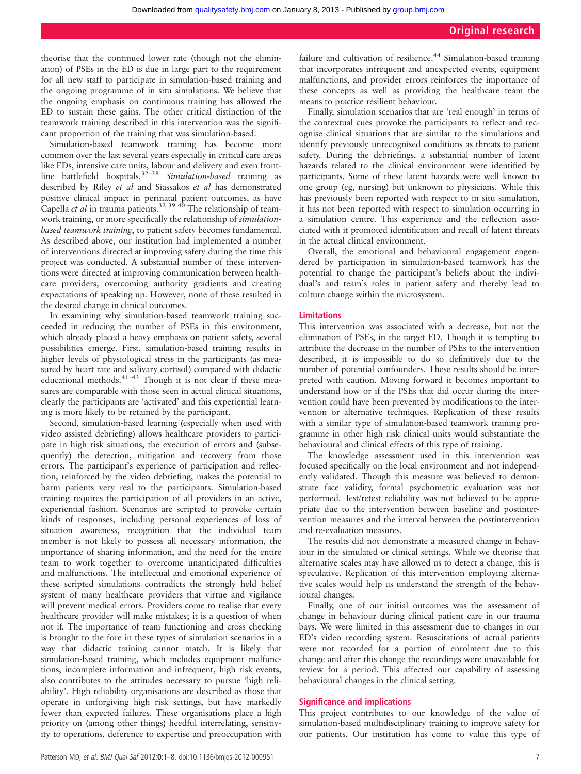theorise that the continued lower rate (though not the elimination) of PSEs in the ED is due in large part to the requirement for all new staff to participate in simulation-based training and the ongoing programme of in situ simulations. We believe that the ongoing emphasis on continuous training has allowed the ED to sustain these gains. The other critical distinction of the teamwork training described in this intervention was the significant proportion of the training that was simulation-based.

Simulation-based teamwork training has become more common over the last several years especially in critical care areas like EDs, intensive care units, labour and delivery and even frontline battlefield hospitals.<sup>32–38</sup> Simulation-based training as described by Riley et al and Siassakos et al has demonstrated positive clinical impact in perinatal patient outcomes, as have Capella *et al* in trauma patients.<sup>32 39 40</sup> The relationship of teamwork training, or more specifically the relationship of simulationbased teamwork training, to patient safety becomes fundamental. As described above, our institution had implemented a number of interventions directed at improving safety during the time this project was conducted. A substantial number of these interventions were directed at improving communication between healthcare providers, overcoming authority gradients and creating expectations of speaking up. However, none of these resulted in the desired change in clinical outcomes.

In examining why simulation-based teamwork training succeeded in reducing the number of PSEs in this environment, which already placed a heavy emphasis on patient safety, several possibilities emerge. First, simulation-based training results in higher levels of physiological stress in the participants (as measured by heart rate and salivary cortisol) compared with didactic educational methods.<sup>41–43</sup> Though it is not clear if these measures are comparable with those seen in actual clinical situations, clearly the participants are 'activated' and this experiential learning is more likely to be retained by the participant.

Second, simulation-based learning (especially when used with video assisted debriefing) allows healthcare providers to participate in high risk situations, the execution of errors and (subsequently) the detection, mitigation and recovery from those errors. The participant's experience of participation and reflection, reinforced by the video debriefing, makes the potential to harm patients very real to the participants. Simulation-based training requires the participation of all providers in an active, experiential fashion. Scenarios are scripted to provoke certain kinds of responses, including personal experiences of loss of situation awareness, recognition that the individual team member is not likely to possess all necessary information, the importance of sharing information, and the need for the entire team to work together to overcome unanticipated difficulties and malfunctions. The intellectual and emotional experience of these scripted simulations contradicts the strongly held belief system of many healthcare providers that virtue and vigilance will prevent medical errors. Providers come to realise that every healthcare provider will make mistakes; it is a question of when not if. The importance of team functioning and cross checking is brought to the fore in these types of simulation scenarios in a way that didactic training cannot match. It is likely that simulation-based training, which includes equipment malfunctions, incomplete information and infrequent, high risk events, also contributes to the attitudes necessary to pursue 'high reliability'. High reliability organisations are described as those that operate in unforgiving high risk settings, but have markedly fewer than expected failures. These organisations place a high priority on (among other things) heedful interrelating, sensitivity to operations, deference to expertise and preoccupation with

failure and cultivation of resilience.<sup>44</sup> Simulation-based training that incorporates infrequent and unexpected events, equipment malfunctions, and provider errors reinforces the importance of these concepts as well as providing the healthcare team the means to practice resilient behaviour.

Finally, simulation scenarios that are 'real enough' in terms of the contextual cues provoke the participants to reflect and recognise clinical situations that are similar to the simulations and identify previously unrecognised conditions as threats to patient safety. During the debriefings, a substantial number of latent hazards related to the clinical environment were identified by participants. Some of these latent hazards were well known to one group (eg, nursing) but unknown to physicians. While this has previously been reported with respect to in situ simulation, it has not been reported with respect to simulation occurring in a simulation centre. This experience and the reflection associated with it promoted identification and recall of latent threats in the actual clinical environment.

Overall, the emotional and behavioural engagement engendered by participation in simulation-based teamwork has the potential to change the participant's beliefs about the individual's and team's roles in patient safety and thereby lead to culture change within the microsystem.

#### **Limitations**

This intervention was associated with a decrease, but not the elimination of PSEs, in the target ED. Though it is tempting to attribute the decrease in the number of PSEs to the intervention described, it is impossible to do so definitively due to the number of potential confounders. These results should be interpreted with caution. Moving forward it becomes important to understand how or if the PSEs that did occur during the intervention could have been prevented by modifications to the intervention or alternative techniques. Replication of these results with a similar type of simulation-based teamwork training programme in other high risk clinical units would substantiate the behavioural and clinical effects of this type of training.

The knowledge assessment used in this intervention was focused specifically on the local environment and not independently validated. Though this measure was believed to demonstrate face validity, formal psychometric evaluation was not performed. Test/retest reliability was not believed to be appropriate due to the intervention between baseline and postintervention measures and the interval between the postintervention and re-evaluation measures.

The results did not demonstrate a measured change in behaviour in the simulated or clinical settings. While we theorise that alternative scales may have allowed us to detect a change, this is speculative. Replication of this intervention employing alternative scales would help us understand the strength of the behavioural changes.

Finally, one of our initial outcomes was the assessment of change in behaviour during clinical patient care in our trauma bays. We were limited in this assessment due to changes in our ED's video recording system. Resuscitations of actual patients were not recorded for a portion of enrolment due to this change and after this change the recordings were unavailable for review for a period. This affected our capability of assessing behavioural changes in the clinical setting.

#### Significance and implications

This project contributes to our knowledge of the value of simulation-based multidisciplinary training to improve safety for our patients. Our institution has come to value this type of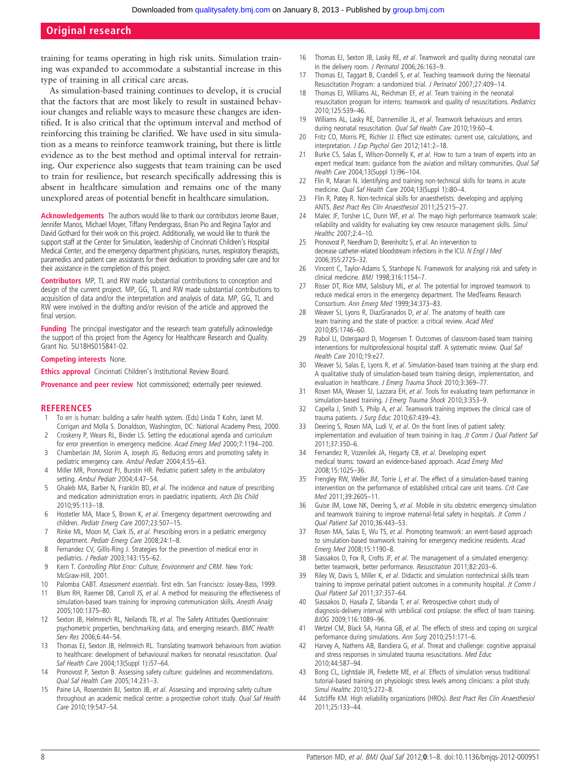training for teams operating in high risk units. Simulation training was expanded to accommodate a substantial increase in this type of training in all critical care areas.

As simulation-based training continues to develop, it is crucial that the factors that are most likely to result in sustained behaviour changes and reliable ways to measure these changes are identified. It is also critical that the optimum interval and method of reinforcing this training be clarified. We have used in situ simulation as a means to reinforce teamwork training, but there is little evidence as to the best method and optimal interval for retraining. Our experience also suggests that team training can be used to train for resilience, but research specifically addressing this is absent in healthcare simulation and remains one of the many unexplored areas of potential benefit in healthcare simulation.

Acknowledgements The authors would like to thank our contributors Jerome Bauer, Jennifer Manos, Michael Moyer, Tiffany Pendergrass, Brian Pio and Regina Taylor and David Gothard for their work on this project. Additionally, we would like to thank the support staff at the Center for Simulation, leadership of Cincinnati Children's Hospital Medical Center, and the emergency department physicians, nurses, respiratory therapists, paramedics and patient care assistants for their dedication to providing safer care and for their assistance in the completion of this project.

Contributors MP, TL and RW made substantial contributions to conception and design of the current project. MP, GG, TL and RW made substantial contributions to acquisition of data and/or the interpretation and analysis of data. MP, GG, TL and RW were involved in the drafting and/or revision of the article and approved the final version.

Funding The principal investigator and the research team gratefully acknowledge the support of this project from the Agency for Healthcare Research and Quality. Grant No. 5U18HS015841-02.

#### Competing interests None.

**Ethics approval** Cincinnati Children's Institutional Review Board.

Provenance and peer review Not commissioned; externally peer reviewed.

#### **REFERENCES**

- To err is human: building a safer health system. (Eds) Linda T Kohn, Janet M. Corrigan and Molla S. Donaldson, Washington, DC: National Academy Press, 2000.
- 2 Croskerry P, Wears RL, Binder LS. Setting the educational agenda and curriculum for error prevention in emergency medicine. Acad Emerg Med 2000;7:1194–200.
- 3 Chamberlain JM, Slonim A, Joseph JG. Reducing errors and promoting safety in pediatric emergency care. Ambul Pediatr 2004;4:55–63.
- 4 Miller MR, Pronovost PJ, Burstin HR. Pediatric patient safety in the ambulatory setting. Ambul Pediatr 2004;4:47–54.
- 5 Ghaleb MA, Barber N, Franklin BD, et al. The incidence and nature of prescribing and medication administration errors in paediatric inpatients. Arch Dis Child 2010;95:113–18.
- 6 Hostetler MA, Mace S, Brown K, et al. Emergency department overcrowding and children. Pediatr Emerg Care 2007;23:507–15.
- Rinke ML, Moon M, Clark JS, et al. Prescribing errors in a pediatric emergency department. Pediatr Emerg Care 2008;24:1–8.
- 8 Fernandez CV, Gillis-Ring J. Strategies for the prevention of medical error in pediatrics. J Pediatr 2003;143:155–62.
- 9 Kern T. Controlling Pllot Error: Culture, Environment and CRM. New York: McGraw-Hill, 2001.
- 10 Palomba CABT. Assessment essentials. first edn. San Francisco: Jossey-Bass, 1999.
- 11 Blum RH, Raemer DB, Carroll JS, et al. A method for measuring the effectiveness of simulation-based team training for improving communication skills. Anesth Analg 2005;100:1375–80.
- 12 Sexton JB, Helmreich RL, Neilands TB, et al. The Safety Attitudes Questionnaire: psychometric properties, benchmarking data, and emerging research. BMC Health Serv Res 2006;6:44–54.
- 13 Thomas EJ, Sexton JB, Helmreich RL. Translating teamwork behaviours from aviation to healthcare: development of behavioural markers for neonatal resuscitation. Qual Saf Health Care 2004;13(Suppl 1):i57–64.
- 14 Pronovost P, Sexton B. Assessing safety culture: guidelines and recommendations. Qual Saf Health Care 2005;14:231–3.
- 15 Paine LA, Rosenstein BJ, Sexton JB, et al. Assessing and improving safety culture throughout an academic medical centre: a prospective cohort study. Qual Saf Health Care 2010;19:547–54.
- 16 Thomas EJ, Sexton JB, Lasky RE, et al. Teamwork and quality during neonatal care in the delivery room. J Perinatol 2006;26:163-9.
- 17 Thomas EJ, Taggart B, Crandell S, et al. Teaching teamwork during the Neonatal Resuscitation Program: a randomized trial. J Perinatol 2007;27:409–14.
- 18 Thomas EJ, Williams AL, Reichman EF, et al. Team training in the neonatal resuscitation program for interns: teamwork and quality of resuscitations. Pediatrics 2010;125:539–46.
- 19 Williams AL, Lasky RE, Dannemiller JL, et al. Teamwork behaviours and errors during neonatal resuscitation. Qual Saf Health Care 2010;19:60-4.
- 20 Fritz CO, Morris PE, Richler JJ. Effect size estimates: current use, calculations, and interpretation. J Exp Psychol Gen 2012;141:2–18.
- 21 Burke CS, Salas E, Wilson-Donnelly K, et al. How to turn a team of experts into an expert medical team: guidance from the aviation and military communities. *Qual Saf* Health Care 2004;13(Suppl 1):i96–104.
- 22 Flin R, Maran N. Identifying and training non-technical skills for teams in acute medicine. Qual Saf Health Care 2004;13(Suppl 1):i80–4.
- Flin R, Patey R. Non-technical skills for anaesthetists: developing and applying ANTS. Best Pract Res Clin Anaesthesiol 2011;25:215–27.
- 24 Malec JF, Torsher LC, Dunn WF, et al. The mayo high performance teamwork scale: reliability and validity for evaluating key crew resource management skills. Simul Healthc 2007;2:4–10.
- 25 Pronovost P, Needham D, Berenholtz S, et al. An intervention to decrease catheter-related bloodstream infections in the ICU. N Engl J Med 2006;355:2725–32.
- 26 Vincent C, Taylor-Adams S, Stanhope N. Framework for analysing risk and safety in clinical medicine. BMJ 1998;316:1154–7.
- 27 Risser DT, Rice MM, Salisbury ML, et al. The potential for improved teamwork to reduce medical errors in the emergency department. The MedTeams Research Consortium. Ann Emerg Med 1999;34:373–83.
- 28 Weaver SJ, Lyons R, DiazGranados D, et al. The anatomy of health care team training and the state of practice: a critical review. Acad Med 2010;85:1746–60.
- 29 Rabol LI, Ostergaard D, Mogensen T. Outcomes of classroom-based team training interventions for multiprofessional hospital staff. A systematic review. Qual Saf Health Care 2010;19:e27.
- 30 Weaver SJ, Salas E, Lyons R, et al. Simulation-based team training at the sharp end: A qualitative study of simulation-based team training design, implementation, and evaluation in healthcare. J Emerg Trauma Shock 2010;3:369–77.
- 31 Rosen MA, Weaver SJ, Lazzara EH, et al. Tools for evaluating team performance in simulation-based training. J Emerg Trauma Shock 2010;3:353–9.
- 32 Capella J, Smith S, Philp A, et al. Teamwork training improves the clinical care of trauma patients. J Surg Educ 2010;67:439-43.
- 33 Deering S, Rosen MA, Ludi V, et al. On the front lines of patient safety: implementation and evaluation of team training in Iraq. Jt Comm J Qual Patient Saf 2011;37:350–6.
- 34 Fernandez R, Vozenilek JA, Hegarty CB, et al. Developing expert medical teams: toward an evidence-based approach. Acad Emerg Med 2008;15:1025–36.
- 35 Frengley RW, Weller JM, Torrie J, et al. The effect of a simulation-based training intervention on the performance of established critical care unit teams. Crit Care Med 2011;39:2605–11.
- 36 Guise JM, Lowe NK, Deering S, et al. Mobile in situ obstetric emergency simulation and teamwork training to improve maternal-fetal safety in hospitals. Jt Comm J Qual Patient Saf 2010;36:443–53.
- 37 Rosen MA, Salas E, Wu TS, et al. Promoting teamwork: an event-based approach to simulation-based teamwork training for emergency medicine residents. Acad Emerg Med 2008;15:1190–8.
- 38 Siassakos D, Fox R, Crofts JF, et al. The management of a simulated emergency: better teamwork, better performance. Resuscitation 2011;82:203–6.
- 39 Riley W, Davis S, Miller K, et al. Didactic and simulation nontechnical skills team training to improve perinatal patient outcomes in a community hospital. *Jt Comm J* Qual Patient Saf 2011;37:357–64.
- 40 Siassakos D, Hasafa Z, Sibanda T, et al. Retrospective cohort study of diagnosis-delivery interval with umbilical cord prolapse: the effect of team training. BJOG 2009;116:1089–96.
- 41 Wetzel CM, Black SA, Hanna GB, et al. The effects of stress and coping on surgical performance during simulations. Ann Surg 2010;251:171–6.
- 42 Harvey A, Nathens AB, Bandiera G, et al. Threat and challenge: cognitive appraisal and stress responses in simulated trauma resuscitations. Med Educ 2010;44:587–94.
- 43 Bong CL, Lightdale JR, Fredette ME, et al. Effects of simulation versus traditional tutorial-based training on physiologic stress levels among clinicians: a pilot study.  $Similarly 2010:5:272-8.$
- 44 Sutcliffe KM. High reliability organizations (HROs). Best Pract Res Clin Anaesthesiol 2011;25:133–44.